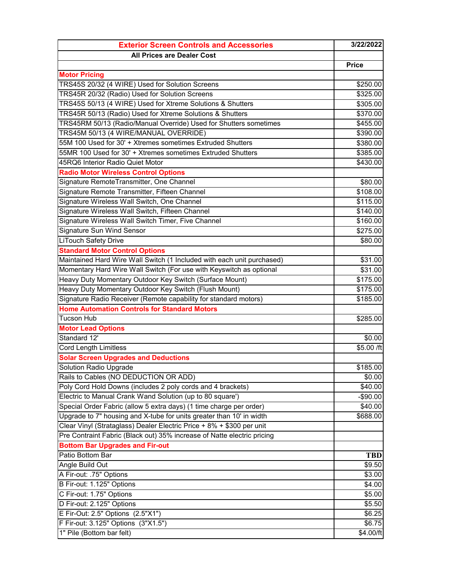| <b>Exterior Screen Controls and Accessories</b>                         | 3/22/2022    |
|-------------------------------------------------------------------------|--------------|
| <b>All Prices are Dealer Cost</b>                                       |              |
|                                                                         | <b>Price</b> |
| <b>Motor Pricing</b>                                                    |              |
| TRS45S 20/32 (4 WIRE) Used for Solution Screens                         | \$250.00     |
| TRS45R 20/32 (Radio) Used for Solution Screens                          | \$325.00     |
| TRS45S 50/13 (4 WIRE) Used for Xtreme Solutions & Shutters              | \$305.00     |
| TRS45R 50/13 (Radio) Used for Xtreme Solutions & Shutters               | \$370.00     |
| TRS45RM 50/13 (Radio/Manual Override) Used for Shutters sometimes       | \$455.00     |
| TRS45M 50/13 (4 WIRE/MANUAL OVERRIDE)                                   | \$390.00     |
| 55M 100 Used for 30' + Xtremes sometimes Extruded Shutters              | \$380.00     |
| 55MR 100 Used for 30' + Xtremes sometimes Extruded Shutters             | \$385.00     |
| 45RQ6 Interior Radio Quiet Motor                                        | \$430.00     |
| <b>Radio Motor Wireless Control Options</b>                             |              |
| Signature RemoteTransmitter, One Channel                                | \$80.00      |
| Signature Remote Transmitter, Fifteen Channel                           | \$108.00     |
| Signature Wireless Wall Switch, One Channel                             | \$115.00     |
| Signature Wireless Wall Switch, Fifteen Channel                         | \$140.00     |
| Signature Wireless Wall Switch Timer, Five Channel                      | \$160.00     |
| Signature Sun Wind Sensor                                               | \$275.00     |
| <b>LiTouch Safety Drive</b>                                             | \$80.00      |
| <b>Standard Motor Control Options</b>                                   |              |
| Maintained Hard Wire Wall Switch (1 Included with each unit purchased)  | \$31.00      |
| Momentary Hard Wire Wall Switch (For use with Keyswitch as optional     | \$31.00      |
| Heavy Duty Momentary Outdoor Key Switch (Surface Mount)                 | \$175.00     |
| Heavy Duty Momentary Outdoor Key Switch (Flush Mount)                   | \$175.00     |
| Signature Radio Receiver (Remote capability for standard motors)        | \$185.00     |
| <b>Home Automation Controls for Standard Motors</b>                     |              |
| <b>Tucson Hub</b>                                                       | \$285.00     |
| <b>Motor Lead Options</b>                                               |              |
| Standard 12'                                                            | \$0.00       |
| <b>Cord Length Limitless</b>                                            | \$5.00 /ft   |
| <b>Solar Screen Upgrades and Deductions</b>                             |              |
| Solution Radio Upgrade                                                  | \$185.00     |
| Rails to Cables (NO DEDUCTION OR ADD)                                   | \$0.00       |
| Poly Cord Hold Downs (includes 2 poly cords and 4 brackets)             | \$40.00      |
| Electric to Manual Crank Wand Solution (up to 80 square')               | $-$90.00$    |
| Special Order Fabric (allow 5 extra days) (1 time charge per order)     | \$40.00      |
| Upgrade to 7" housing and X-tube for units greater than 10' in width    | \$688.00     |
| Clear Vinyl (Strataglass) Dealer Electric Price + 8% + \$300 per unit   |              |
| Pre Contraint Fabric (Black out) 35% increase of Natte electric pricing |              |
| <b>Bottom Bar Upgrades and Fir-out</b>                                  |              |
| Patio Bottom Bar                                                        | <b>TBD</b>   |
| Angle Build Out                                                         | \$9.50       |
| A Fir-out: .75" Options                                                 | \$3.00       |
| B Fir-out: 1.125" Options                                               | \$4.00       |
| C Fir-out: 1.75" Options                                                | \$5.00       |
| D Fir-out: 2.125" Options                                               | \$5.50       |
| E Fir-Out: 2.5" Options (2.5"X1")                                       | \$6.25       |
| F Fir-out: 3.125" Options (3"X1.5")                                     | \$6.75       |
| 1" Pile (Bottom bar felt)                                               | \$4.00/ft    |